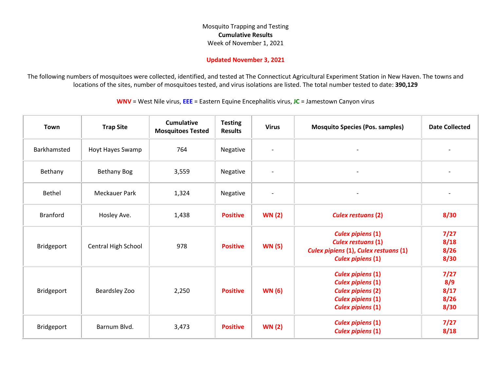## Mosquito Trapping and Testing **Cumulative Results** Week of November 1, 2021

## **Updated November 3, 2021**

The following numbers of mosquitoes were collected, identified, and tested at The Connecticut Agricultural Experiment Station in New Haven. The towns and locations of the sites, number of mosquitoes tested, and virus isolations are listed. The total number tested to date: **390,129**

**WNV** = West Nile virus, **EEE** = Eastern Equine Encephalitis virus, **JC** = Jamestown Canyon virus

| Town            | <b>Trap Site</b>     | <b>Cumulative</b><br><b>Mosquitoes Tested</b> | <b>Testing</b><br><b>Results</b> | <b>Virus</b>             | <b>Mosquito Species (Pos. samples)</b>                                                                                                   | <b>Date Collected</b>               |
|-----------------|----------------------|-----------------------------------------------|----------------------------------|--------------------------|------------------------------------------------------------------------------------------------------------------------------------------|-------------------------------------|
| Barkhamsted     | Hoyt Hayes Swamp     | 764                                           | Negative                         | $\overline{\phantom{a}}$ | $\overline{\phantom{a}}$                                                                                                                 |                                     |
| Bethany         | <b>Bethany Bog</b>   | 3,559                                         | Negative                         | $\sim$                   | $\overline{\phantom{a}}$                                                                                                                 |                                     |
| Bethel          | <b>Meckauer Park</b> | 1,324                                         | Negative                         | $\overline{\phantom{a}}$ |                                                                                                                                          |                                     |
| <b>Branford</b> | Hosley Ave.          | 1,438                                         | <b>Positive</b>                  | <b>WN (2)</b>            | <b>Culex restuans (2)</b>                                                                                                                | 8/30                                |
| Bridgeport      | Central High School  | 978                                           | <b>Positive</b>                  | <b>WN (5)</b>            | <b>Culex pipiens (1)</b><br><b>Culex restuans (1)</b><br>Culex pipiens (1), Culex restuans (1)<br><b>Culex pipiens (1)</b>               | 7/27<br>8/18<br>8/26<br>8/30        |
| Bridgeport      | Beardsley Zoo        | 2,250                                         | <b>Positive</b>                  | <b>WN (6)</b>            | <b>Culex pipiens (1)</b><br><b>Culex pipiens (1)</b><br><b>Culex pipiens (2)</b><br><b>Culex pipiens (1)</b><br><b>Culex pipiens (1)</b> | 7/27<br>8/9<br>8/17<br>8/26<br>8/30 |
| Bridgeport      | Barnum Blvd.         | 3,473                                         | <b>Positive</b>                  | <b>WN (2)</b>            | <b>Culex pipiens (1)</b><br><b>Culex pipiens (1)</b>                                                                                     | 7/27<br>8/18                        |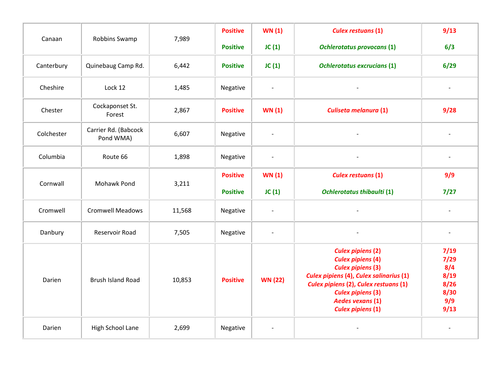| Canaan     | Robbins Swamp                     | 7,989  | <b>Positive</b> | <b>WN(1)</b>             | <b>Culex restuans (1)</b>                                                                                                                                                                                                                               | 9/13                                                       |
|------------|-----------------------------------|--------|-----------------|--------------------------|---------------------------------------------------------------------------------------------------------------------------------------------------------------------------------------------------------------------------------------------------------|------------------------------------------------------------|
|            |                                   |        | <b>Positive</b> | JC(1)                    | <b>Ochlerotatus provocans (1)</b>                                                                                                                                                                                                                       | 6/3                                                        |
| Canterbury | Quinebaug Camp Rd.                | 6,442  | <b>Positive</b> | JC(1)                    | <b>Ochlerotatus excrucians (1)</b>                                                                                                                                                                                                                      | 6/29                                                       |
| Cheshire   | Lock 12                           | 1,485  | Negative        | $\overline{\phantom{a}}$ |                                                                                                                                                                                                                                                         | $\overline{\phantom{a}}$                                   |
| Chester    | Cockaponset St.<br>Forest         | 2,867  | <b>Positive</b> | <b>WN (1)</b>            | Culiseta melanura (1)                                                                                                                                                                                                                                   | 9/28                                                       |
| Colchester | Carrier Rd. (Babcock<br>Pond WMA) | 6,607  | Negative        |                          |                                                                                                                                                                                                                                                         |                                                            |
| Columbia   | Route 66                          | 1,898  | Negative        | $\overline{\phantom{a}}$ |                                                                                                                                                                                                                                                         |                                                            |
| Cornwall   | Mohawk Pond                       | 3,211  | <b>Positive</b> | <b>WN(1)</b>             | <b>Culex restuans (1)</b>                                                                                                                                                                                                                               | 9/9                                                        |
|            |                                   |        | <b>Positive</b> | JC(1)                    | <b>Ochlerotatus thibaulti (1)</b>                                                                                                                                                                                                                       | 7/27                                                       |
| Cromwell   | <b>Cromwell Meadows</b>           | 11,568 | Negative        | $\overline{\phantom{a}}$ | $\overline{a}$                                                                                                                                                                                                                                          | $\overline{\phantom{a}}$                                   |
| Danbury    | Reservoir Road                    | 7,505  | Negative        | $\overline{\phantom{a}}$ |                                                                                                                                                                                                                                                         | $\overline{\phantom{0}}$                                   |
| Darien     | <b>Brush Island Road</b>          | 10,853 | <b>Positive</b> | <b>WN (22)</b>           | <b>Culex pipiens (2)</b><br><b>Culex pipiens (4)</b><br><b>Culex pipiens (3)</b><br>Culex pipiens (4), Culex salinarius (1)<br>Culex pipiens (2), Culex restuans (1)<br><b>Culex pipiens (3)</b><br><b>Aedes vexans (1)</b><br><b>Culex pipiens (1)</b> | 7/19<br>7/29<br>8/4<br>8/19<br>8/26<br>8/30<br>9/9<br>9/13 |
| Darien     | High School Lane                  | 2,699  | Negative        |                          |                                                                                                                                                                                                                                                         |                                                            |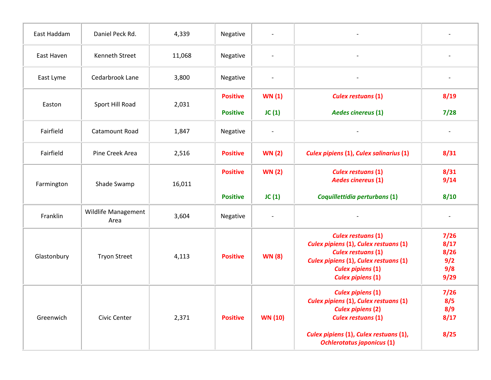| East Haddam | Daniel Peck Rd.             | 4,339  | Negative        | $\overline{\phantom{a}}$ |                                                                                                                                                                                                           |                                            |
|-------------|-----------------------------|--------|-----------------|--------------------------|-----------------------------------------------------------------------------------------------------------------------------------------------------------------------------------------------------------|--------------------------------------------|
| East Haven  | <b>Kenneth Street</b>       | 11,068 | Negative        |                          |                                                                                                                                                                                                           |                                            |
| East Lyme   | Cedarbrook Lane             | 3,800  | Negative        |                          |                                                                                                                                                                                                           |                                            |
|             |                             |        | <b>Positive</b> | <b>WN (1)</b>            | <b>Culex restuans (1)</b>                                                                                                                                                                                 | 8/19                                       |
| Easton      | Sport Hill Road             | 2,031  | <b>Positive</b> | JC(1)                    | <b>Aedes cinereus (1)</b>                                                                                                                                                                                 | 7/28                                       |
| Fairfield   | Catamount Road              | 1,847  | Negative        | $\overline{\phantom{a}}$ |                                                                                                                                                                                                           | $\overline{\phantom{a}}$                   |
| Fairfield   | Pine Creek Area             | 2,516  | <b>Positive</b> | <b>WN (2)</b>            | Culex pipiens (1), Culex salinarius (1)                                                                                                                                                                   | 8/31                                       |
| Farmington  | Shade Swamp                 | 16,011 | <b>Positive</b> | <b>WN (2)</b>            | <b>Culex restuans (1)</b><br><b>Aedes cinereus (1)</b>                                                                                                                                                    | 8/31<br>9/14                               |
|             |                             |        | <b>Positive</b> | JC(1)                    | Coquillettidia perturbans (1)                                                                                                                                                                             | 8/10                                       |
| Franklin    | Wildlife Management<br>Area | 3,604  | Negative        |                          |                                                                                                                                                                                                           |                                            |
| Glastonbury | <b>Tryon Street</b>         | 4,113  | <b>Positive</b> | <b>WN (8)</b>            | <b>Culex restuans (1)</b><br>Culex pipiens (1), Culex restuans (1)<br><b>Culex restuans (1)</b><br>Culex pipiens (1), Culex restuans (1)<br><b>Culex pipiens (1)</b><br><b>Culex pipiens (1)</b>          | 7/26<br>8/17<br>8/26<br>9/2<br>9/8<br>9/29 |
| Greenwich   | Civic Center                | 2,371  | <b>Positive</b> | <b>WN (10)</b>           | <b>Culex pipiens (1)</b><br>Culex pipiens (1), Culex restuans (1)<br><b>Culex pipiens (2)</b><br><b>Culex restuans (1)</b><br>Culex pipiens (1), Culex restuans (1),<br><b>Ochlerotatus japonicus (1)</b> | 7/26<br>8/5<br>8/9<br>8/17<br>8/25         |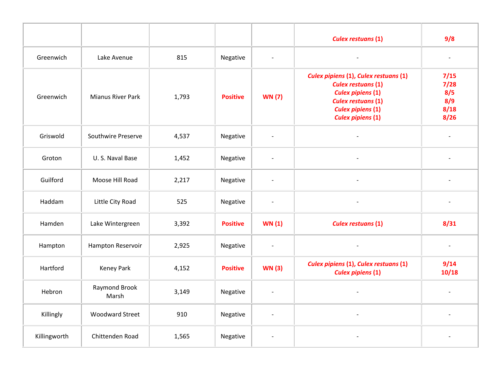|              |                        |       |                 |                          | <b>Culex restuans (1)</b>                                                                                                                                                           | 9/8                                        |
|--------------|------------------------|-------|-----------------|--------------------------|-------------------------------------------------------------------------------------------------------------------------------------------------------------------------------------|--------------------------------------------|
| Greenwich    | Lake Avenue            | 815   | Negative        | $\overline{\phantom{a}}$ |                                                                                                                                                                                     | $\overline{\phantom{a}}$                   |
| Greenwich    | Mianus River Park      | 1,793 | <b>Positive</b> | <b>WN (7)</b>            | Culex pipiens (1), Culex restuans (1)<br><b>Culex restuans (1)</b><br><b>Culex pipiens (1)</b><br><b>Culex restuans (1)</b><br><b>Culex pipiens (1)</b><br><b>Culex pipiens (1)</b> | 7/15<br>7/28<br>8/5<br>8/9<br>8/18<br>8/26 |
| Griswold     | Southwire Preserve     | 4,537 | Negative        | $\overline{\phantom{a}}$ | $\overline{\phantom{a}}$                                                                                                                                                            |                                            |
| Groton       | U.S. Naval Base        | 1,452 | Negative        | $\overline{\phantom{a}}$ | $\overline{\phantom{a}}$                                                                                                                                                            | $\overline{a}$                             |
| Guilford     | Moose Hill Road        | 2,217 | Negative        | $\overline{\phantom{a}}$ | $\overline{\phantom{a}}$                                                                                                                                                            |                                            |
| Haddam       | Little City Road       | 525   | Negative        | $\overline{\phantom{a}}$ | $\overline{\phantom{a}}$                                                                                                                                                            | $\overline{\phantom{a}}$                   |
| Hamden       | Lake Wintergreen       | 3,392 | <b>Positive</b> | <b>WN (1)</b>            | <b>Culex restuans (1)</b>                                                                                                                                                           | 8/31                                       |
| Hampton      | Hampton Reservoir      | 2,925 | Negative        | $\overline{\phantom{a}}$ | $\blacksquare$                                                                                                                                                                      | $\overline{\phantom{a}}$                   |
| Hartford     | <b>Keney Park</b>      | 4,152 | <b>Positive</b> | <b>WN (3)</b>            | Culex pipiens (1), Culex restuans (1)<br><b>Culex pipiens (1)</b>                                                                                                                   | 9/14<br>10/18                              |
| Hebron       | Raymond Brook<br>Marsh | 3,149 | Negative        | $\overline{\phantom{a}}$ | $\blacksquare$                                                                                                                                                                      | $\overline{\phantom{a}}$                   |
| Killingly    | <b>Woodward Street</b> | 910   | Negative        | $\overline{\phantom{a}}$ | $\overline{\phantom{a}}$                                                                                                                                                            | $\overline{a}$                             |
| Killingworth | Chittenden Road        | 1,565 | Negative        | $\overline{\phantom{a}}$ |                                                                                                                                                                                     |                                            |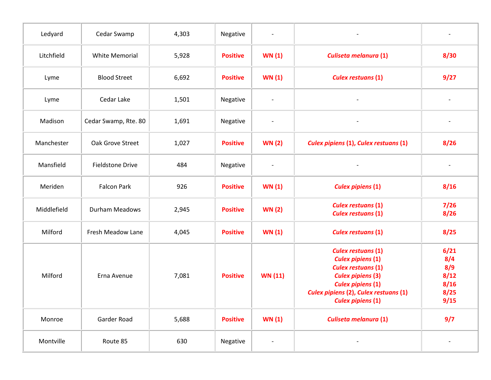| Ledyard     | Cedar Swamp             | 4,303 | Negative        | $\qquad \qquad$          |                                                                                                                                                                                                                 |                                                    |
|-------------|-------------------------|-------|-----------------|--------------------------|-----------------------------------------------------------------------------------------------------------------------------------------------------------------------------------------------------------------|----------------------------------------------------|
| Litchfield  | <b>White Memorial</b>   | 5,928 | <b>Positive</b> | <b>WN (1)</b>            | <b>Culiseta melanura (1)</b>                                                                                                                                                                                    | 8/30                                               |
| Lyme        | <b>Blood Street</b>     | 6,692 | <b>Positive</b> | <b>WN (1)</b>            | <b>Culex restuans (1)</b>                                                                                                                                                                                       | 9/27                                               |
| Lyme        | Cedar Lake              | 1,501 | Negative        | $\overline{\phantom{a}}$ |                                                                                                                                                                                                                 |                                                    |
| Madison     | Cedar Swamp, Rte. 80    | 1,691 | Negative        | $\overline{\phantom{a}}$ |                                                                                                                                                                                                                 |                                                    |
| Manchester  | Oak Grove Street        | 1,027 | <b>Positive</b> | <b>WN (2)</b>            | Culex pipiens (1), Culex restuans (1)                                                                                                                                                                           | 8/26                                               |
| Mansfield   | <b>Fieldstone Drive</b> | 484   | Negative        | $\overline{\phantom{a}}$ |                                                                                                                                                                                                                 |                                                    |
| Meriden     | <b>Falcon Park</b>      | 926   | <b>Positive</b> | WN(1)                    | <b>Culex pipiens (1)</b>                                                                                                                                                                                        | 8/16                                               |
| Middlefield | Durham Meadows          | 2,945 | <b>Positive</b> | <b>WN (2)</b>            | <b>Culex restuans (1)</b><br><b>Culex restuans (1)</b>                                                                                                                                                          | 7/26<br>8/26                                       |
| Milford     | Fresh Meadow Lane       | 4,045 | <b>Positive</b> | <b>WN (1)</b>            | <b>Culex restuans (1)</b>                                                                                                                                                                                       | 8/25                                               |
| Milford     | Erna Avenue             | 7,081 | <b>Positive</b> | <b>WN (11)</b>           | <b>Culex restuans (1)</b><br><b>Culex pipiens (1)</b><br><b>Culex restuans (1)</b><br><b>Culex pipiens (3)</b><br><b>Culex pipiens (1)</b><br>Culex pipiens (2), Culex restuans (1)<br><b>Culex pipiens (1)</b> | 6/21<br>8/4<br>8/9<br>8/12<br>8/16<br>8/25<br>9/15 |
| Monroe      | Garder Road             | 5,688 | <b>Positive</b> | <b>WN (1)</b>            | Culiseta melanura (1)                                                                                                                                                                                           | 9/7                                                |
| Montville   | Route 85                | 630   | Negative        |                          |                                                                                                                                                                                                                 |                                                    |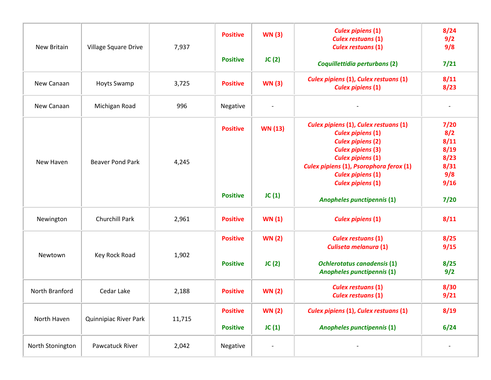| <b>New Britain</b> | Village Square Drive    | 7,937  | <b>Positive</b>                    | <b>WN (3)</b>          | <b>Culex pipiens (1)</b><br><b>Culex restuans (1)</b><br><b>Culex restuans (1)</b>                                                                                                                                                                       | 8/24<br>9/2<br>9/8                                         |
|--------------------|-------------------------|--------|------------------------------------|------------------------|----------------------------------------------------------------------------------------------------------------------------------------------------------------------------------------------------------------------------------------------------------|------------------------------------------------------------|
|                    |                         |        | <b>Positive</b>                    | JC(2)                  | Coquillettidia perturbans (2)                                                                                                                                                                                                                            | 7/21                                                       |
| New Canaan         | <b>Hoyts Swamp</b>      | 3,725  | <b>Positive</b>                    | <b>WN (3)</b>          | Culex pipiens (1), Culex restuans (1)<br><b>Culex pipiens (1)</b>                                                                                                                                                                                        | 8/11<br>8/23                                               |
| New Canaan         | Michigan Road           | 996    | Negative                           |                        |                                                                                                                                                                                                                                                          |                                                            |
| New Haven          | <b>Beaver Pond Park</b> | 4,245  | <b>Positive</b>                    | <b>WN (13)</b>         | Culex pipiens (1), Culex restuans (1)<br><b>Culex pipiens (1)</b><br><b>Culex pipiens (2)</b><br><b>Culex pipiens (3)</b><br><b>Culex pipiens (1)</b><br>Culex pipiens (1), Psorophora ferox (1)<br><b>Culex pipiens (1)</b><br><b>Culex pipiens (1)</b> | 7/20<br>8/2<br>8/11<br>8/19<br>8/23<br>8/31<br>9/8<br>9/16 |
|                    |                         |        | <b>Positive</b>                    | JC(1)                  | <b>Anopheles punctipennis (1)</b>                                                                                                                                                                                                                        | 7/20                                                       |
| Newington          | Churchill Park          | 2,961  | <b>Positive</b>                    | WN(1)                  | <b>Culex pipiens (1)</b>                                                                                                                                                                                                                                 | 8/11                                                       |
| Newtown            | Key Rock Road           | 1,902  | <b>Positive</b><br><b>Positive</b> | <b>WN (2)</b><br>JC(2) | <b>Culex restuans (1)</b><br>Culiseta melanura (1)<br><b>Ochlerotatus canadensis (1)</b><br><b>Anopheles punctipennis (1)</b>                                                                                                                            | 8/25<br>9/15<br>8/25<br>9/2                                |
| North Branford     | Cedar Lake              | 2,188  | <b>Positive</b>                    | <b>WN (2)</b>          | <b>Culex restuans (1)</b><br><b>Culex restuans (1)</b>                                                                                                                                                                                                   | 8/30<br>9/21                                               |
| North Haven        | Quinnipiac River Park   | 11,715 | <b>Positive</b><br><b>Positive</b> | <b>WN (2)</b><br>JC(1) | Culex pipiens (1), Culex restuans (1)<br>Anopheles punctipennis (1)                                                                                                                                                                                      | 8/19<br>6/24                                               |
| North Stonington   | Pawcatuck River         | 2,042  | Negative                           |                        |                                                                                                                                                                                                                                                          |                                                            |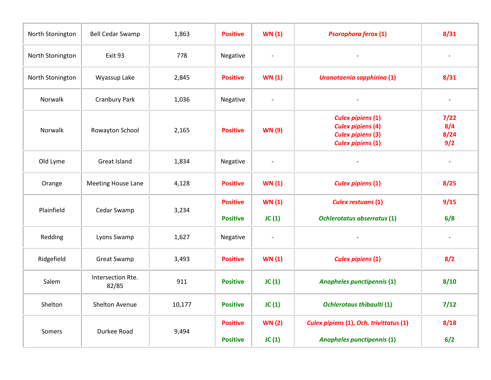| North Stonington | <b>Bell Cedar Swamp</b>    | 1,863  | <b>Positive</b>                    | WN(1)                        | <b>Psorophora ferox (1)</b>                                                                                  | 8/31                       |
|------------------|----------------------------|--------|------------------------------------|------------------------------|--------------------------------------------------------------------------------------------------------------|----------------------------|
| North Stonington | Exit 93                    | 778    | Negative                           | $\overline{\phantom{a}}$     |                                                                                                              |                            |
| North Stonington | Wyassup Lake               | 2,845  | <b>Positive</b>                    | <b>WN (1)</b>                | Uranotaenia sapphirina (1)                                                                                   | 8/31                       |
| Norwalk          | <b>Cranbury Park</b>       | 1,036  | Negative                           | $\overline{\phantom{a}}$     |                                                                                                              |                            |
| Norwalk          | Rowayton School            | 2,165  | <b>Positive</b>                    | <b>WN (9)</b>                | <b>Culex pipiens (1)</b><br><b>Culex pipiens (4)</b><br><b>Culex pipiens (3)</b><br><b>Culex pipiens (1)</b> | 7/22<br>8/4<br>8/24<br>9/2 |
| Old Lyme         | Great Island               | 1,834  | Negative                           | $\overline{\phantom{a}}$     | $\overline{\phantom{0}}$                                                                                     | $\overline{\phantom{a}}$   |
| Orange           | <b>Meeting House Lane</b>  | 4,128  | <b>Positive</b>                    | WN(1)                        | <b>Culex pipiens (1)</b>                                                                                     | 8/25                       |
| Plainfield       | Cedar Swamp                | 3,234  | <b>Positive</b><br><b>Positive</b> | WN(1)<br>JC(1)               | <b>Culex restuans (1)</b><br><b>Ochlerotatus abserratus (1)</b>                                              | 9/15<br>6/8                |
| Redding          | Lyons Swamp                | 1,627  | Negative                           | $\qquad \qquad \blacksquare$ |                                                                                                              |                            |
| Ridgefield       | <b>Great Swamp</b>         | 3,493  | <b>Positive</b>                    | WN(1)                        | <b>Culex pipiens (1)</b>                                                                                     | 8/2                        |
| Salem            | Intersection Rte.<br>82/85 | 911    | <b>Positive</b>                    | JC(1)                        | <b>Anopheles punctipennis (1)</b>                                                                            | 8/10                       |
| Shelton          | Shelton Avenue             | 10,177 | <b>Positive</b>                    | JC(1)                        | <b>Ochlerotaus thibaulti (1)</b>                                                                             | 7/12                       |
| Somers           | Durkee Road                | 9,494  | <b>Positive</b><br><b>Positive</b> | <b>WN (2)</b><br>JC(1)       | Culex pipiens (1), Och. trivittatus (1)<br><b>Anopheles punctipennis (1)</b>                                 | 8/18<br>6/2                |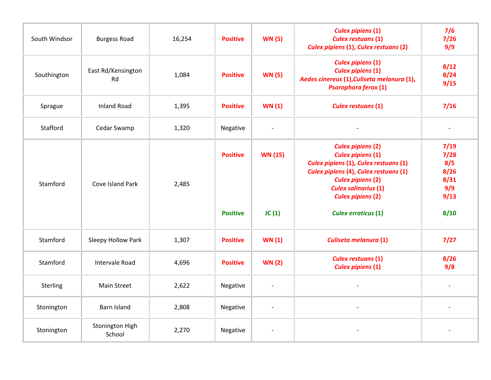| South Windsor | <b>Burgess Road</b>       | 16,254 | <b>Positive</b>                    | <b>WN (5)</b>            | <b>Culex pipiens (1)</b><br><b>Culex restuans (1)</b><br><b>Culex pipiens (1), Culex restuans (2)</b>                                                                                                                                                       | 7/6<br>$7/26$<br>9/9                                       |
|---------------|---------------------------|--------|------------------------------------|--------------------------|-------------------------------------------------------------------------------------------------------------------------------------------------------------------------------------------------------------------------------------------------------------|------------------------------------------------------------|
| Southington   | East Rd/Kensington<br>Rd  | 1,084  | <b>Positive</b>                    | <b>WN (5)</b>            | <b>Culex pipiens (1)</b><br><b>Culex pipiens (1)</b><br>Aedes cinereus (1), Culiseta melanura (1),<br><b>Psorophora ferox (1)</b>                                                                                                                           | 8/12<br>8/24<br>9/15                                       |
| Sprague       | <b>Inland Road</b>        | 1,395  | <b>Positive</b>                    | WN(1)                    | <b>Culex restuans (1)</b>                                                                                                                                                                                                                                   | 7/16                                                       |
| Stafford      | Cedar Swamp               | 1,320  | Negative                           | $\overline{\phantom{a}}$ |                                                                                                                                                                                                                                                             | $\overline{\phantom{a}}$                                   |
| Stamford      | Cove Island Park          | 2,485  | <b>Positive</b><br><b>Positive</b> | <b>WN (15)</b><br>JC(1)  | <b>Culex pipiens (2)</b><br><b>Culex pipiens (1)</b><br>Culex pipiens (1), Culex restuans (1)<br>Culex pipiens (4), Culex restuans (1)<br><b>Culex pipiens (2)</b><br><b>Culex salinarius (1)</b><br><b>Culex pipiens (2)</b><br><b>Culex erraticus (1)</b> | 7/19<br>7/28<br>8/5<br>8/26<br>8/31<br>9/9<br>9/13<br>8/10 |
| Stamford      | Sleepy Hollow Park        | 1,307  | <b>Positive</b>                    | WN(1)                    | Culiseta melanura (1)                                                                                                                                                                                                                                       | $7/27$                                                     |
| Stamford      | Intervale Road            | 4,696  | <b>Positive</b>                    | <b>WN (2)</b>            | <b>Culex restuans (1)</b><br><b>Culex pipiens (1)</b>                                                                                                                                                                                                       | 8/26<br>9/8                                                |
| Sterling      | <b>Main Street</b>        | 2,622  | Negative                           | $\overline{\phantom{a}}$ | $\overline{\phantom{0}}$                                                                                                                                                                                                                                    | $\overline{\phantom{a}}$                                   |
| Stonington    | <b>Barn Island</b>        | 2,808  | Negative                           | $\overline{\phantom{a}}$ |                                                                                                                                                                                                                                                             |                                                            |
| Stonington    | Stonington High<br>School | 2,270  | Negative                           |                          |                                                                                                                                                                                                                                                             |                                                            |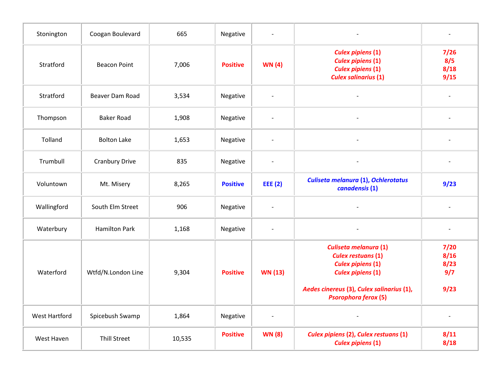| Stonington           | Coogan Boulevard      | 665    | Negative        | $\overline{a}$               | $\overline{\phantom{a}}$                                                                                                                                                               |                                     |
|----------------------|-----------------------|--------|-----------------|------------------------------|----------------------------------------------------------------------------------------------------------------------------------------------------------------------------------------|-------------------------------------|
| Stratford            | <b>Beacon Point</b>   | 7,006  | <b>Positive</b> | <b>WN</b> (4)                | <b>Culex pipiens (1)</b><br><b>Culex pipiens (1)</b><br><b>Culex pipiens (1)</b><br><b>Culex salinarius (1)</b>                                                                        | 7/26<br>8/5<br>8/18<br>9/15         |
| Stratford            | Beaver Dam Road       | 3,534  | Negative        | $\overline{a}$               |                                                                                                                                                                                        |                                     |
| Thompson             | <b>Baker Road</b>     | 1,908  | Negative        | $\overline{\phantom{a}}$     |                                                                                                                                                                                        |                                     |
| Tolland              | <b>Bolton Lake</b>    | 1,653  | Negative        | $\overline{\phantom{a}}$     | $\qquad \qquad -$                                                                                                                                                                      | $\qquad \qquad \blacksquare$        |
| Trumbull             | <b>Cranbury Drive</b> | 835    | Negative        | $\overline{\phantom{a}}$     | $\overline{\phantom{a}}$                                                                                                                                                               | $\overline{\phantom{a}}$            |
| Voluntown            | Mt. Misery            | 8,265  | <b>Positive</b> | <b>EEE</b> (2)               | Culiseta melanura (1), Ochlerotatus<br>canadensis (1)                                                                                                                                  | 9/23                                |
| Wallingford          | South Elm Street      | 906    | Negative        | $\overline{a}$               |                                                                                                                                                                                        |                                     |
| Waterbury            | <b>Hamilton Park</b>  | 1,168  | Negative        | $\overline{\phantom{a}}$     | $\overline{\phantom{a}}$                                                                                                                                                               | $\qquad \qquad \blacksquare$        |
| Waterford            | Wtfd/N.London Line    | 9,304  | <b>Positive</b> | <b>WN (13)</b>               | Culiseta melanura (1)<br><b>Culex restuans (1)</b><br><b>Culex pipiens (1)</b><br><b>Culex pipiens (1)</b><br>Aedes cinereus (3), Culex salinarius (1),<br><b>Psorophora ferox (5)</b> | 7/20<br>8/16<br>8/23<br>9/7<br>9/23 |
| <b>West Hartford</b> | Spicebush Swamp       | 1,864  | Negative        | $\qquad \qquad \blacksquare$ | $\overline{\phantom{0}}$                                                                                                                                                               |                                     |
| West Haven           | <b>Thill Street</b>   | 10,535 | <b>Positive</b> | <b>WN (8)</b>                | Culex pipiens (2), Culex restuans (1)<br><b>Culex pipiens (1)</b>                                                                                                                      | 8/11<br>8/18                        |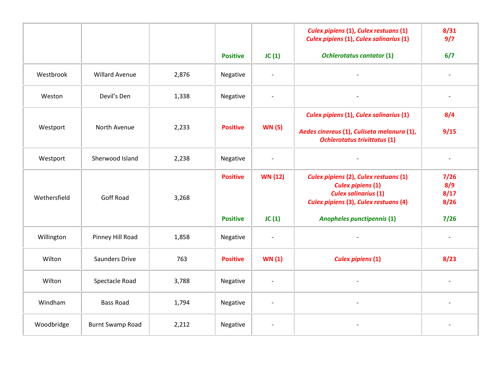|              |                         |       |                 |                          | Culex pipiens (1), Culex restuans (1)<br><b>Culex pipiens (1), Culex salinarius (1)</b>                                                   | 8/31<br>9/7                 |
|--------------|-------------------------|-------|-----------------|--------------------------|-------------------------------------------------------------------------------------------------------------------------------------------|-----------------------------|
|              |                         |       | <b>Positive</b> | JC(1)                    | <b>Ochlerotatus cantator (1)</b>                                                                                                          | 6/7                         |
| Westbrook    | <b>Willard Avenue</b>   | 2,876 | Negative        | $\overline{\phantom{a}}$ | $\overline{\phantom{a}}$                                                                                                                  | $\overline{\phantom{a}}$    |
| Weston       | Devil's Den             | 1,338 | Negative        | $\overline{\phantom{a}}$ |                                                                                                                                           | $\frac{1}{2}$               |
|              |                         |       |                 |                          | <b>Culex pipiens (1), Culex salinarius (1)</b>                                                                                            | 8/4                         |
| Westport     | North Avenue            | 2,233 | <b>Positive</b> | <b>WN (5)</b>            | Aedes cinereus (1), Culiseta melanura (1),<br><b>Ochlerotatus trivittatus (1)</b>                                                         | 9/15                        |
| Westport     | Sherwood Island         | 2,238 | Negative        | $\overline{\phantom{a}}$ |                                                                                                                                           |                             |
| Wethersfield | <b>Goff Road</b>        | 3,268 | <b>Positive</b> | <b>WN (12)</b>           | Culex pipiens (2), Culex restuans (1)<br><b>Culex pipiens (1)</b><br><b>Culex salinarius (1)</b><br>Culex pipiens (3), Culex restuans (4) | 7/26<br>8/9<br>8/17<br>8/26 |
|              |                         |       | <b>Positive</b> | JC(1)                    | <b>Anopheles punctipennis (1)</b>                                                                                                         | 7/26                        |
| Willington   | Pinney Hill Road        | 1,858 | Negative        | $\overline{\phantom{a}}$ |                                                                                                                                           | $\overline{\phantom{a}}$    |
| Wilton       | Saunders Drive          | 763   | <b>Positive</b> | <b>WN (1)</b>            | <b>Culex pipiens (1)</b>                                                                                                                  | 8/23                        |
| Wilton       | Spectacle Road          | 3,788 | Negative        | $\overline{\phantom{a}}$ | $\overline{\phantom{a}}$                                                                                                                  | $\overline{a}$              |
| Windham      | <b>Bass Road</b>        | 1,794 | Negative        | $\overline{\phantom{a}}$ |                                                                                                                                           |                             |
| Woodbridge   | <b>Burnt Swamp Road</b> | 2,212 | Negative        | $\overline{\phantom{a}}$ |                                                                                                                                           |                             |